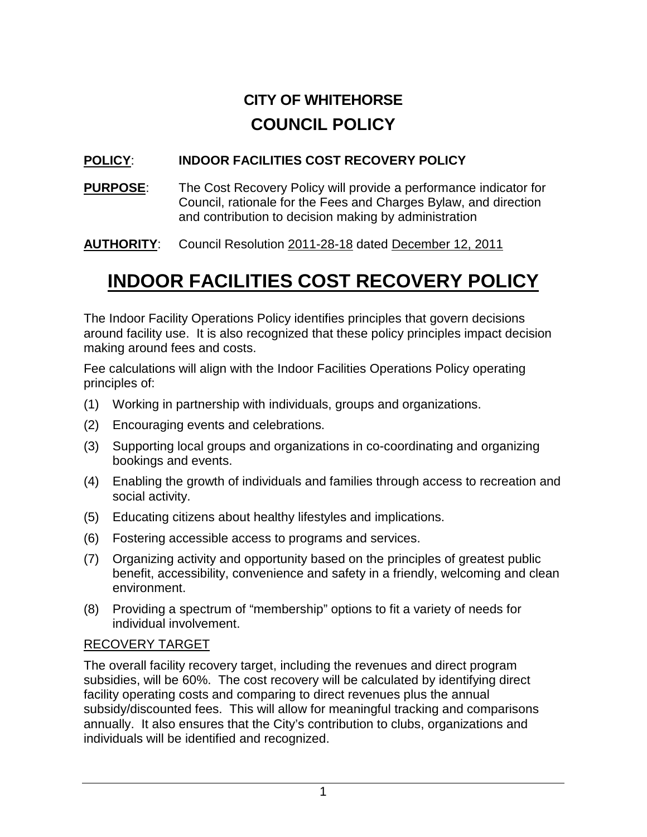# **CITY OF WHITEHORSE COUNCIL POLICY**

# **POLICY**: **INDOOR FACILITIES COST RECOVERY POLICY**

**PURPOSE**: The Cost Recovery Policy will provide a performance indicator for Council, rationale for the Fees and Charges Bylaw, and direction and contribution to decision making by administration

**AUTHORITY**: Council Resolution 2011-28-18 dated December 12, 2011

# **INDOOR FACILITIES COST RECOVERY POLICY**

The Indoor Facility Operations Policy identifies principles that govern decisions around facility use. It is also recognized that these policy principles impact decision making around fees and costs.

Fee calculations will align with the Indoor Facilities Operations Policy operating principles of:

- (1) Working in partnership with individuals, groups and organizations.
- (2) Encouraging events and celebrations.
- (3) Supporting local groups and organizations in co-coordinating and organizing bookings and events.
- (4) Enabling the growth of individuals and families through access to recreation and social activity.
- (5) Educating citizens about healthy lifestyles and implications.
- (6) Fostering accessible access to programs and services.
- (7) Organizing activity and opportunity based on the principles of greatest public benefit, accessibility, convenience and safety in a friendly, welcoming and clean environment.
- (8) Providing a spectrum of "membership" options to fit a variety of needs for individual involvement.

# RECOVERY TARGET

The overall facility recovery target, including the revenues and direct program subsidies, will be 60%. The cost recovery will be calculated by identifying direct facility operating costs and comparing to direct revenues plus the annual subsidy/discounted fees. This will allow for meaningful tracking and comparisons annually. It also ensures that the City's contribution to clubs, organizations and individuals will be identified and recognized.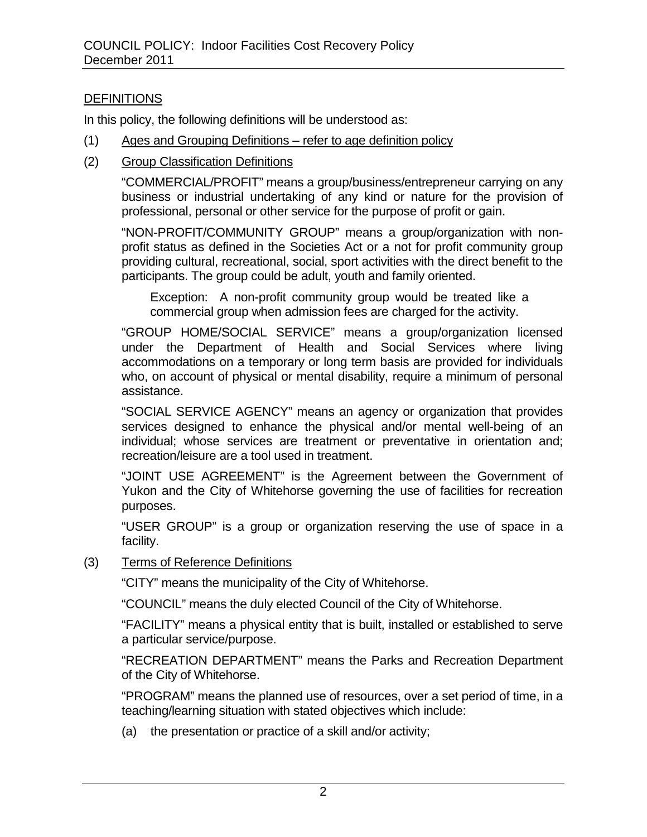### **DEFINITIONS**

In this policy, the following definitions will be understood as:

- (1) Ages and Grouping Definitions refer to age definition policy
- (2) Group Classification Definitions

"COMMERCIAL/PROFIT" means a group/business/entrepreneur carrying on any business or industrial undertaking of any kind or nature for the provision of professional, personal or other service for the purpose of profit or gain.

"NON-PROFIT/COMMUNITY GROUP" means a group/organization with nonprofit status as defined in the Societies Act or a not for profit community group providing cultural, recreational, social, sport activities with the direct benefit to the participants. The group could be adult, youth and family oriented.

Exception: A non-profit community group would be treated like a commercial group when admission fees are charged for the activity.

"GROUP HOME/SOCIAL SERVICE" means a group/organization licensed under the Department of Health and Social Services where living accommodations on a temporary or long term basis are provided for individuals who, on account of physical or mental disability, require a minimum of personal assistance.

"SOCIAL SERVICE AGENCY" means an agency or organization that provides services designed to enhance the physical and/or mental well-being of an individual; whose services are treatment or preventative in orientation and; recreation/leisure are a tool used in treatment.

"JOINT USE AGREEMENT" is the Agreement between the Government of Yukon and the City of Whitehorse governing the use of facilities for recreation purposes.

"USER GROUP" is a group or organization reserving the use of space in a facility.

#### (3) Terms of Reference Definitions

"CITY" means the municipality of the City of Whitehorse.

"COUNCIL" means the duly elected Council of the City of Whitehorse.

"FACILITY" means a physical entity that is built, installed or established to serve a particular service/purpose.

"RECREATION DEPARTMENT" means the Parks and Recreation Department of the City of Whitehorse.

"PROGRAM" means the planned use of resources, over a set period of time, in a teaching/learning situation with stated objectives which include:

(a) the presentation or practice of a skill and/or activity;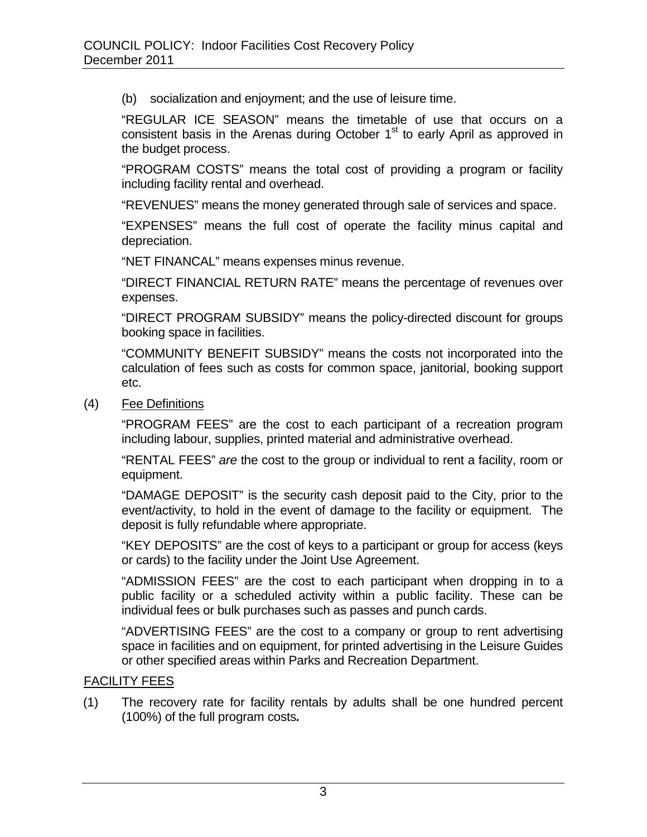(b) socialization and enjoyment; and the use of leisure time.

"REGULAR ICE SEASON" means the timetable of use that occurs on a consistent basis in the Arenas during October 1<sup>st</sup> to early April as approved in the budget process.

"PROGRAM COSTS" means the total cost of providing a program or facility including facility rental and overhead.

"REVENUES" means the money generated through sale of services and space.

"EXPENSES" means the full cost of operate the facility minus capital and depreciation.

"NET FINANCAL" means expenses minus revenue.

"DIRECT FINANCIAL RETURN RATE" means the percentage of revenues over expenses.

"DIRECT PROGRAM SUBSIDY" means the policy-directed discount for groups booking space in facilities.

"COMMUNITY BENEFIT SUBSIDY" means the costs not incorporated into the calculation of fees such as costs for common space, janitorial, booking support etc.

(4) Fee Definitions

"PROGRAM FEES" are the cost to each participant of a recreation program including labour, supplies, printed material and administrative overhead.

"RENTAL FEES" *are* the cost to the group or individual to rent a facility, room or equipment.

"DAMAGE DEPOSIT" is the security cash deposit paid to the City, prior to the event/activity, to hold in the event of damage to the facility or equipment. The deposit is fully refundable where appropriate.

"KEY DEPOSITS" are the cost of keys to a participant or group for access (keys or cards) to the facility under the Joint Use Agreement.

"ADMISSION FEES" are the cost to each participant when dropping in to a public facility or a scheduled activity within a public facility. These can be individual fees or bulk purchases such as passes and punch cards.

"ADVERTISING FEES" are the cost to a company or group to rent advertising space in facilities and on equipment, for printed advertising in the Leisure Guides or other specified areas within Parks and Recreation Department.

# FACILITY FEES

(1) The recovery rate for facility rentals by adults shall be one hundred percent (100%) of the full program costs*.*